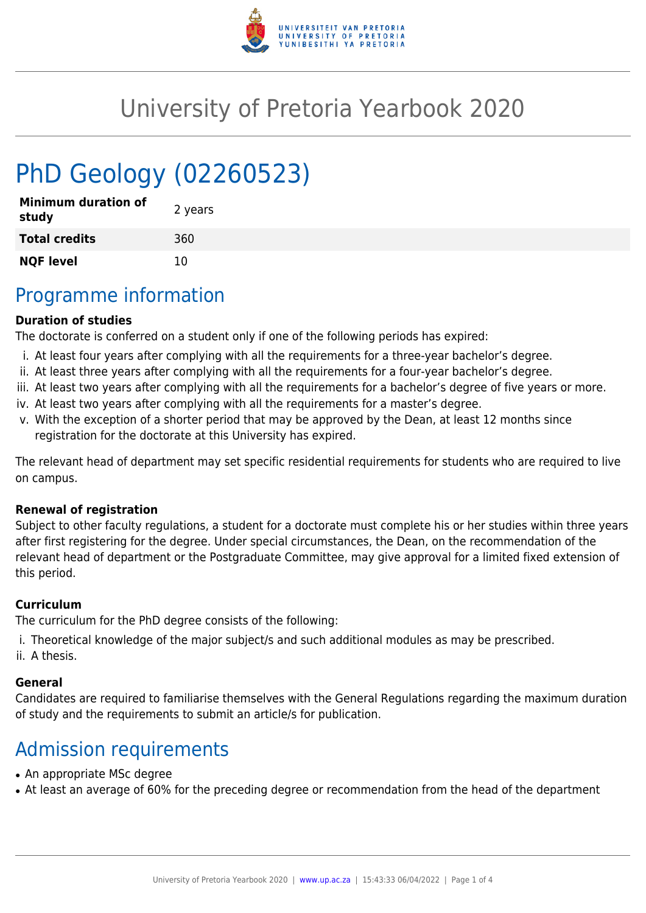

## University of Pretoria Yearbook 2020

# PhD Geology (02260523)

| <b>Minimum duration of</b><br>study | 2 years |
|-------------------------------------|---------|
| <b>Total credits</b>                | 360     |
| <b>NQF level</b>                    | 10      |

### Programme information

#### **Duration of studies**

The doctorate is conferred on a student only if one of the following periods has expired:

- i. At least four years after complying with all the requirements for a three-year bachelor's degree.
- ii. At least three years after complying with all the requirements for a four-year bachelor's degree.
- iii. At least two years after complying with all the requirements for a bachelor's degree of five years or more.
- iv. At least two years after complying with all the requirements for a master's degree.
- v. With the exception of a shorter period that may be approved by the Dean, at least 12 months since registration for the doctorate at this University has expired.

The relevant head of department may set specific residential requirements for students who are required to live on campus.

#### **Renewal of registration**

Subject to other faculty regulations, a student for a doctorate must complete his or her studies within three years after first registering for the degree. Under special circumstances, the Dean, on the recommendation of the relevant head of department or the Postgraduate Committee, may give approval for a limited fixed extension of this period.

#### **Curriculum**

The curriculum for the PhD degree consists of the following:

- i. Theoretical knowledge of the major subject/s and such additional modules as may be prescribed.
- ii. A thesis.

#### **General**

Candidates are required to familiarise themselves with the General Regulations regarding the maximum duration of study and the requirements to submit an article/s for publication.

### Admission requirements

- An appropriate MSc degree
- At least an average of 60% for the preceding degree or recommendation from the head of the department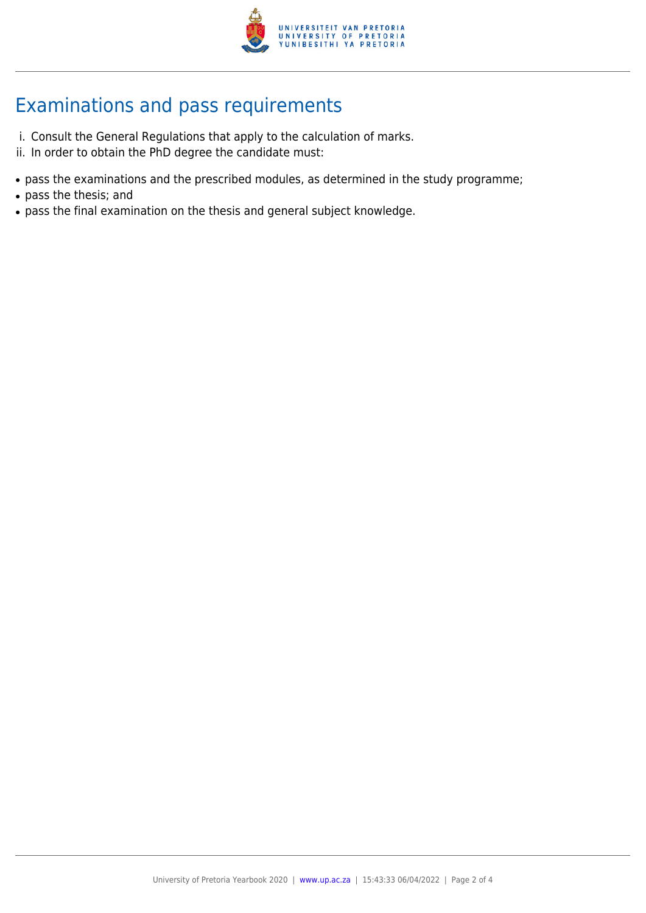

### Examinations and pass requirements

- i. Consult the General Regulations that apply to the calculation of marks.
- ii. In order to obtain the PhD degree the candidate must:
- pass the examinations and the prescribed modules, as determined in the study programme;
- pass the thesis; and
- pass the final examination on the thesis and general subject knowledge.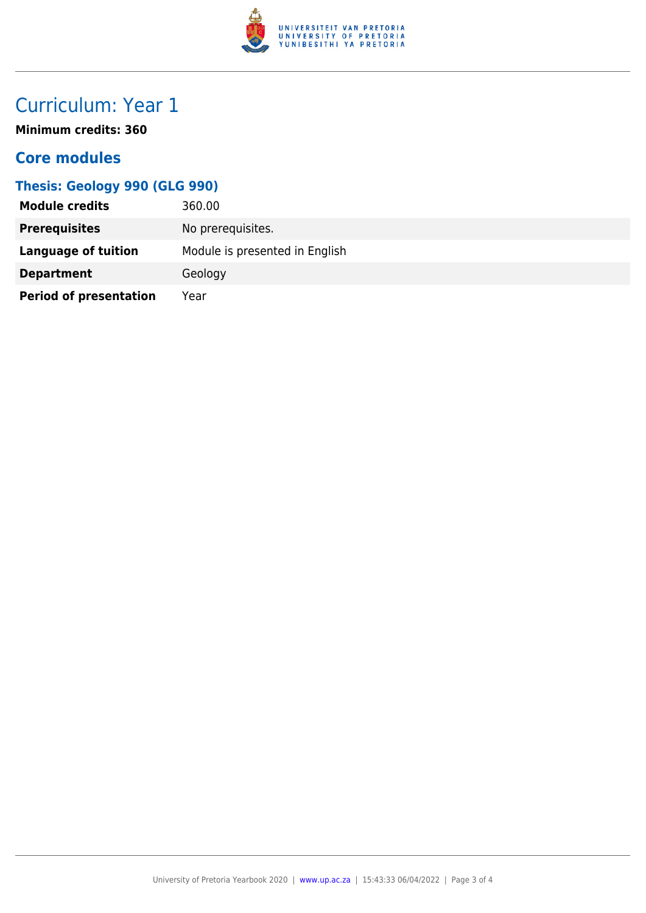

### Curriculum: Year 1

**Minimum credits: 360**

### **Core modules**

#### **Thesis: Geology 990 (GLG 990)**

| <b>Module credits</b>         | 360.00                         |
|-------------------------------|--------------------------------|
| <b>Prerequisites</b>          | No prerequisites.              |
| Language of tuition           | Module is presented in English |
| <b>Department</b>             | Geology                        |
| <b>Period of presentation</b> | Year                           |